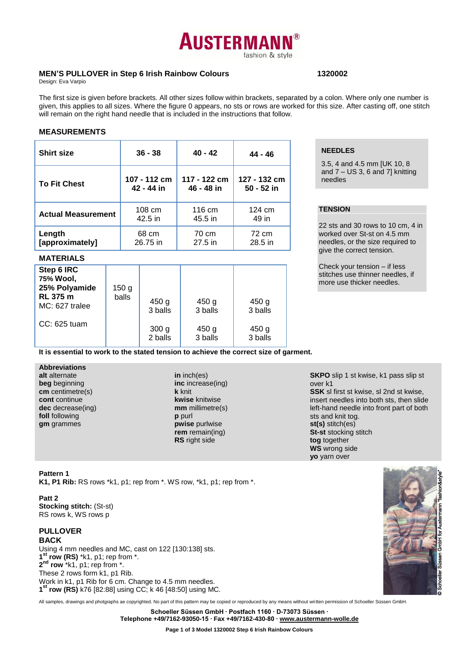# **AUSTERMAN** fashion & style

# **MEN'S PULLOVER in Step 6 Irish Rainbow Colours 1320002**

Design: Eva Varpio

The first size is given before brackets. All other sizes follow within brackets, separated by a colon. Where only one number is given, this applies to all sizes. Where the figure 0 appears, no sts or rows are worked for this size. After casting off, one stitch will remain on the right hand needle that is included in the instructions that follow.

### **MEASUREMENTS**

| <b>Shirt size</b>         | $36 - 38$    | $40 - 42$    | 44 - 46      |
|---------------------------|--------------|--------------|--------------|
| <b>To Fit Chest</b>       | 107 - 112 cm | 117 - 122 cm | 127 - 132 cm |
|                           | 42 - 44 in   | 46 - 48 in   | 50 - 52 in   |
| <b>Actual Measurement</b> | 108 cm       | 116 cm       | 124 cm       |
|                           | 42.5 in      | 45.5 in      | 49 in        |
| Length                    | 68 cm        | 70 cm        | 72 cm        |
| [approximately]           | 26.75 in     | 27.5 in      | 28.5 in      |

#### **MATERIALS**

| Step 6 IRC<br>75% Wool,<br>25% Polyamide<br><b>RL 375 m</b><br>MC: 627 tralee | 150 <sub>g</sub><br>balls | 450 <sub>g</sub><br>3 balls | 450 <sub>g</sub><br>3 balls | 450 g<br>3 balls |  |
|-------------------------------------------------------------------------------|---------------------------|-----------------------------|-----------------------------|------------------|--|
| $CC: 625$ tuam                                                                |                           | 300 <sub>g</sub><br>2 balls | 450 g<br>3 balls            | 450 g<br>3 balls |  |

# **NEEDLES**

3.5, 4 and 4.5 mm [UK 10, 8 and 7 – US 3, 6 and 7] knitting needles

# **TENSION**

22 sts and 30 rows to 10 cm, 4 in worked over St-st on 4.5 mm needles, or the size required to give the correct tension.

Check your tension – if less stitches use thinner needles, if more use thicker needles.

**It is essential to work to the stated tension to achieve the correct size of garment.**

**Abbreviations alt** alternate **beg** beginning **cm** centimetre(s) **cont** continue **dec** decrease(ing) **foll** following **gm** grammes

**in** inch(es) **inc** increase(ing) **k** knit **kwise** knitwise **mm** millimetre(s) **p** purl **pwise** purlwise **rem** remain(ing) **RS** right side

**SKPO** slip 1 st kwise, k1 pass slip st over k1 **SSK** sl first st kwise, sl 2nd st kwise, insert needles into both sts, then slide

left-hand needle into front part of both sts and knit tog. **st(s)** stitch(es) **St-st** stocking stitch **tog** together **WS** wrong side **yo** yarn over

#### **Pattern 1**

**K1, P1 Rib:** RS rows \*k1, p1; rep from \*. WS row, \*k1, p1; rep from \*.

#### **Patt 2**

**Stocking stitch:** (St-st) RS rows k, WS rows p

# **PULLOVER BACK**

Using 4 mm needles and MC, cast on 122 [130:138] sts. **1 st row (RS)** \*k1, p1; rep from \*. **2 nd row** \*k1, p1; rep from \*. These 2 rows form k1, p1 Rib. Work in k1, p1 Rib for 6 cm. Change to 4.5 mm needles. **1 st row (RS)** k76 [82:88] using CC; k 46 [48:50] using MC.



All samples, drawings and photgraphs ae copyrighted. No part of this pattern may be copied or reproduced by any means without written permission of Schoeller Süssen GmbH.

**Schoeller Süssen GmbH ∙ Postfach 1160 ∙ D-73073 Süssen ∙**

**Telephone +49/7162-93050-15 ∙ Fax +49/7162-430-80 ∙ [www.austermann-wolle.de](http://www.austermann-wolle.de/)**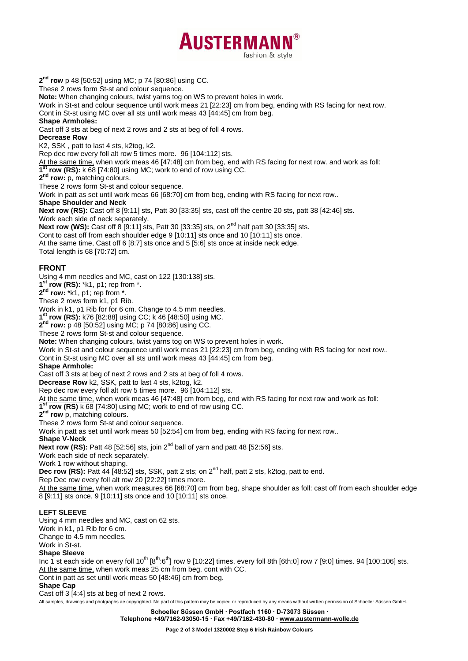

**2 nd row** p 48 [50:52] using MC; p 74 [80:86] using CC.

These 2 rows form St-st and colour sequence.

**Note:** When changing colours, twist yarns tog on WS to prevent holes in work.

Work in St-st and colour sequence until work meas 21 [22:23] cm from beg, ending with RS facing for next row.

Cont in St-st using MC over all sts until work meas 43 [44:45] cm from beg.

#### **Shape Armholes:**

Cast off 3 sts at beg of next 2 rows and 2 sts at beg of foll 4 rows.

**Decrease Row**

K2, SSK , patt to last 4 sts, k2tog, k2.

Rep dec row every foll alt row 5 times more. 96 [104:112] sts.

At the same time, when work meas 46 [47:48] cm from beg, end with RS facing for next row. and work as foll:

**1 st row (RS):** k 68 [74:80] using MC; work to end of row using CC.

**2 nd row:** p, matching colours.

These 2 rows form St-st and colour sequence.

Work in patt as set until work meas 66 [68:70] cm from beg, ending with RS facing for next row..

#### **Shape Shoulder and Neck**

**Next row (RS):** Cast off 8 [9:11] sts, Patt 30 [33:35] sts, cast off the centre 20 sts, patt 38 [42:46] sts. Work each side of neck separately.

**Next row (WS):** Cast off 8 [9:11] sts, Patt 30 [33:35] sts, on 2<sup>nd</sup> half patt 30 [33:35] sts.

Cont to cast off from each shoulder edge 9 [10:11] sts once and 10 [10:11] sts once.

At the same time, Cast off 6 [8:7] sts once and 5 [5:6] sts once at inside neck edge.

Total length is 68 [70:72] cm.

# **FRONT**

Using 4 mm needles and MC, cast on 122 [130:138] sts.

**1 st row (RS):** \*k1, p1; rep from \*.

**2 nd row:** \*k1, p1; rep from \*.

These 2 rows form k1, p1 Rib.

Work in k1, p1 Rib for for 6 cm. Change to 4.5 mm needles.

**1 st row (RS):** k76 [82:88] using CC; k 46 [48:50] using MC.

**2 nd row:** p 48 [50:52] using MC; p 74 [80:86] using CC.

These 2 rows form St-st and colour sequence.

**Note:** When changing colours, twist yarns tog on WS to prevent holes in work.

Work in St-st and colour sequence until work meas 21 [22:23] cm from beg, ending with RS facing for next row.. Cont in St-st using MC over all sts until work meas 43 [44:45] cm from beg.

# **Shape Armhole:**

Cast off 3 sts at beg of next 2 rows and 2 sts at beg of foll 4 rows.

**Decrease Row** k2, SSK, patt to last 4 sts, k2tog, k2.

Rep dec row every foll alt row 5 times more. 96 [104:112] sts.

At the same time, when work meas 46 [47:48] cm from beg, end with RS facing for next row and work as foll:

**1 st row (RS)** k 68 [74:80] using MC; work to end of row using CC.

**2 nd row** p, matching colours.

These 2 rows form St-st and colour sequence.

Work in patt as set until work meas 50 [52:54] cm from beg, ending with RS facing for next row..

**Shape V-Neck**

**Next row (RS):** Patt 48 [52:56] sts, join 2nd ball of yarn and patt 48 [52:56] sts.

Work each side of neck separately.

Work 1 row without shaping.

**Dec row (RS):** Patt 44 [48:52] sts, SSK, patt 2 sts; on 2nd half, patt 2 sts, k2tog, patt to end.

Rep Dec row every foll alt row 20 [22:22] times more.

At the same time, when work measures 66 [68:70] cm from beg, shape shoulder as foll: cast off from each shoulder edge 8 [9:11] sts once, 9 [10:11] sts once and 10 [10:11] sts once.

# **LEFT SLEEVE**

Using 4 mm needles and MC, cast on 62 sts.

Work in k1, p1 Rib for 6 cm.

Change to 4.5 mm needles.

Work in St-st.

# **Shape Sleeve**

Inc 1 st each side on every foll  $10^{th}$   $[8^{th}\cdot6^{th}]$  row 9 [10:22] times, every foll 8th [6th:0] row 7 [9:0] times. 94 [100:106] sts. At the same time, when work meas 25 cm from beg, cont with CC.

Cont in patt as set until work meas 50 [48:46] cm from beg.

# **Shape Cap**

Cast off 3 [4:4] sts at beg of next 2 rows.

All samples, drawings and photgraphs ae copyrighted. No part of this pattern may be copied or reproduced by any means without written permission of Schoeller Süssen GmbH.

**Schoeller Süssen GmbH ∙ Postfach 1160 ∙ D-73073 Süssen ∙**

**Telephone +49/7162-93050-15 ∙ Fax +49/7162-430-80 ∙ [www.austermann-wolle.de](http://www.austermann-wolle.de/)**